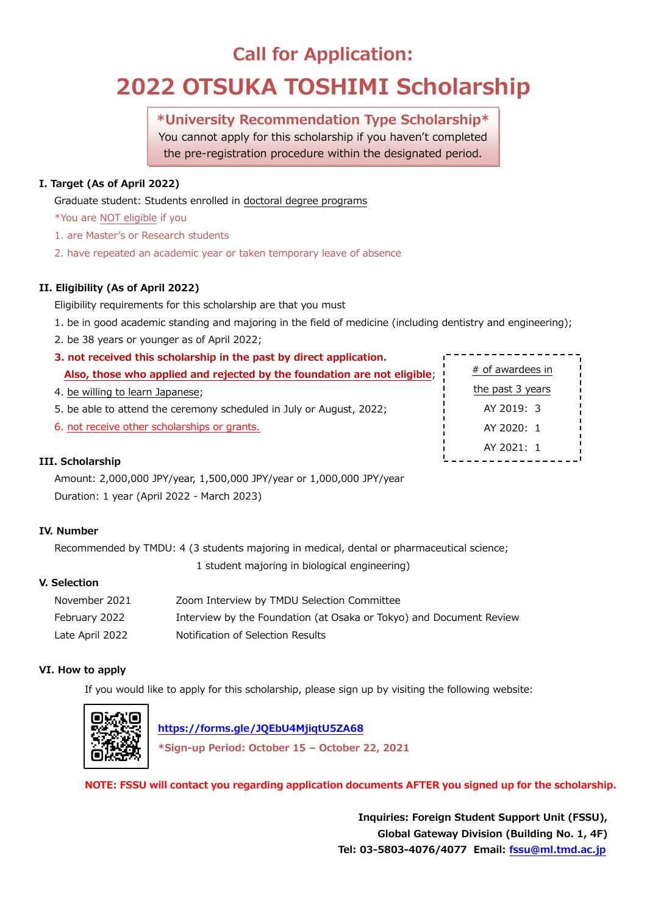# **Call for Application:**

# **2022 OTSUKA TOSHIMI Scholarship**

# **\*University Recommendation Type Scholarship\***

You cannot apply for this scholarship if you haven't completed the pre-registration procedure within the designated period.

## **I. Target (As of April 2022)**

Graduate student: Students enrolled in doctoral degree programs

- \*You are NOT eligible if you
- 1. are Master's or Research students
- 2. have repeated an academic year or taken temporary leave of absence

## **II. Eligibility (As of April 2022)**

Eligibility requirements for this scholarship are that you must

- 1. be in good academic standing and majoring in the field of medicine (including dentistry and engineering);
- 2. be 38 years or younger as of April 2022;
- **3. not received this scholarship in the past by direct application. Also, those who applied and rejected by the foundation are not eligible**;
- 4. be willing to learn Japanese;
- 5. be able to attend the ceremony scheduled in July or August, 2022;
- 6. not receive other scholarships or grants.

# # of awardees in the past 3 years AY 2019: 3 AY 2020: 1 AY 2021: 1

### **III. Scholarship**

Amount: 2,000,000 JPY/year, 1,500,000 JPY/year or 1,000,000 JPY/year Duration: 1 year (April 2022 - March 2023)

### **IV. Number**

Recommended by TMDU: 4 (3 students majoring in medical, dental or pharmaceutical science; 1 student majoring in biological engineering)

**V. Selection**

| November 2021   | Zoom Interview by TMDU Selection Committee                          |
|-----------------|---------------------------------------------------------------------|
| February 2022   | Interview by the Foundation (at Osaka or Tokyo) and Document Review |
| Late April 2022 | Notification of Selection Results                                   |

### **VI. How to apply**

If you would like to apply for this scholarship, please sign up by visiting the following website:



 **<https://forms.gle/JQEbU4MjiqtU5ZA68>**

**\*Sign-up Period: October 15 – October 22, 2021**

**NOTE: FSSU will contact you regarding application documents AFTER you signed up for the scholarship.**

**Inquiries: Foreign Student Support Unit (FSSU), Global Gateway Division (Building No. 1, 4F) Tel: 03-5803-4076/4077 Email: [fssu@ml.tmd.ac.jp](mailto:fssu@ml.tmd.ac.jp)**